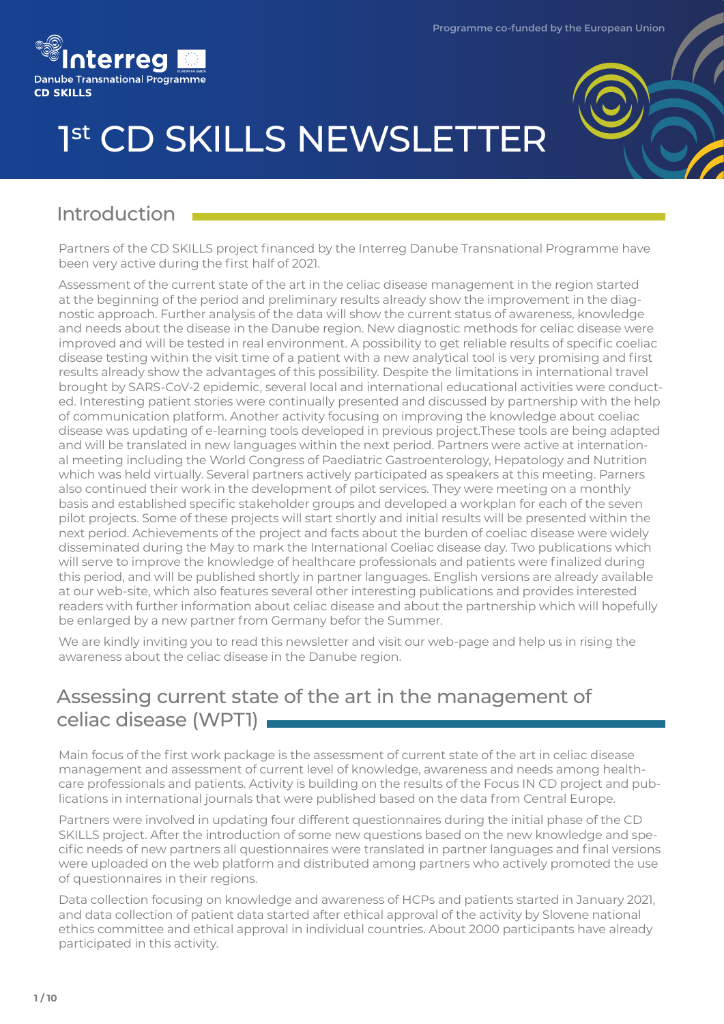



# 1st CD SKILLS NEWSLETTER

# Introduction

Partners of the CD SKILLS project financed by the Interreg Danube Transnational Programme have been very active during the first half of 2021.

Assessment of the current state of the art in the celiac disease management in the region started at the beginning of the period and preliminary results already show the improvement in the diagnostic approach. Further analysis of the data will show the current status of awareness, knowledge and needs about the disease in the Danube region. New diagnostic methods for celiac disease were improved and will be tested in real environment. A possibility to get reliable results of specific coeliac disease testing within the visit time of a patient with a new analytical tool is very promising and first results already show the advantages of this possibility. Despite the limitations in international travel brought by SARS-CoV-2 epidemic, several local and international educational activities were conducted. Interesting patient stories were continually presented and discussed by partnership with the help of communication platform. Another activity focusing on improving the knowledge about coeliac disease was updating of e-learning tools developed in previous project.These tools are being adapted and will be translated in new languages within the next period. Partners were active at international meeting including the World Congress of Paediatric Gastroenterology, Hepatology and Nutrition which was held virtually. Several partners actively participated as speakers at this meeting. Parners also continued their work in the development of pilot services. They were meeting on a monthly basis and established specific stakeholder groups and developed a workplan for each of the seven pilot projects. Some of these projects will start shortly and initial results will be presented within the next period. Achievements of the project and facts about the burden of coeliac disease were widely disseminated during the May to mark the International Coeliac disease day. Two publications which will serve to improve the knowledge of healthcare professionals and patients were finalized during this period, and will be published shortly in partner languages. English versions are already available at our web-site, which also features several other interesting publications and provides interested readers with further information about celiac disease and about the partnership which will hopefully be enlarged by a new partner from Germany befor the Summer.

We are kindly inviting you to read this newsletter and visit our web-page and help us in rising the awareness about the celiac disease in the Danube region.

# Assessing current state of the art in the management of celiac disease (WPT1)

Main focus of the first work package is the assessment of current state of the art in celiac disease management and assessment of current level of knowledge, awareness and needs among healthcare professionals and patients. Activity is building on the results of the Focus IN CD project and publications in international journals that were published based on the data from Central Europe.

Partners were involved in updating four different questionnaires during the initial phase of the CD SKILLS project. After the introduction of some new questions based on the new knowledge and specific needs of new partners all questionnaires were translated in partner languages and final versions were uploaded on the web platform and distributed among partners who actively promoted the use of questionnaires in their regions.

Data collection focusing on knowledge and awareness of HCPs and patients started in January 2021, and data collection of patient data started after ethical approval of the activity by Slovene national ethics committee and ethical approval in individual countries. About 2000 participants have already participated in this activity.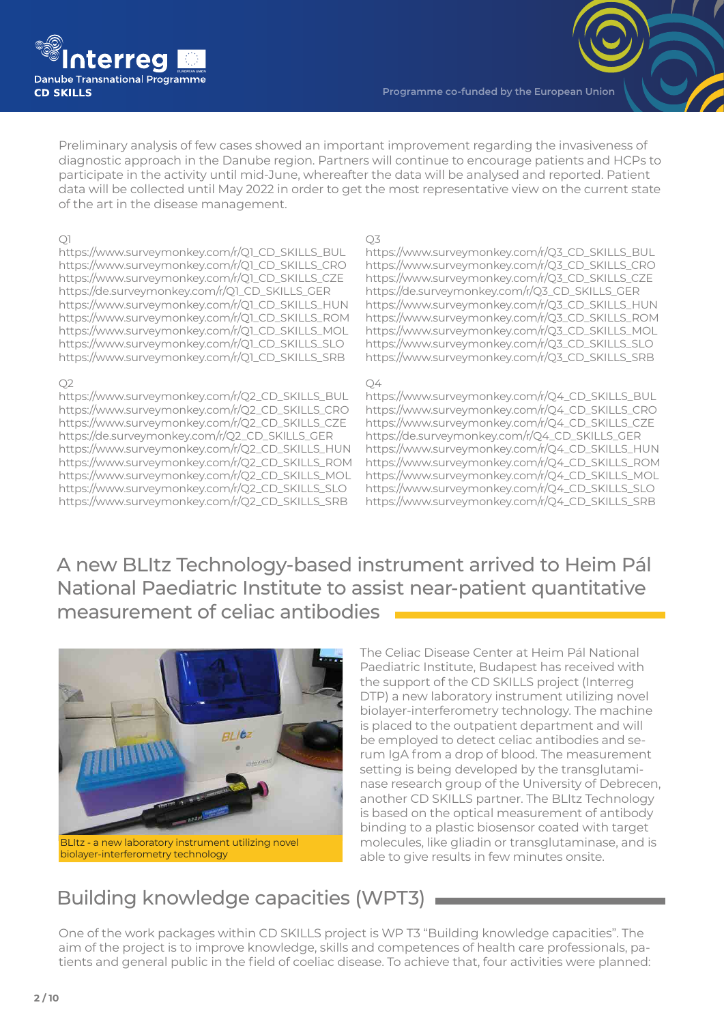

Preliminary analysis of few cases showed an important improvement regarding the invasiveness of diagnostic approach in the Danube region. Partners will continue to encourage patients and HCPs to participate in the activity until mid-June, whereafter the data will be analysed and reported. Patient data will be collected until May 2022 in order to get the most representative view on the current state of the art in the disease management.

#### $\bigcirc$ 1

https://www.surveymonkey.com/r/Q1\_CD\_SKILLS\_BUL https://www.surveymonkey.com/r/Q1\_CD\_SKILLS\_CRO https://www.surveymonkey.com/r/Q1\_CD\_SKILLS\_CZE https://de.surveymonkey.com/r/Q1\_CD\_SKILLS\_GER https://www.surveymonkey.com/r/Q1\_CD\_SKILLS\_HUN https://www.surveymonkey.com/r/Q1\_CD\_SKILLS\_ROM https://www.surveymonkey.com/r/Q1\_CD\_SKILLS\_MOL https://www.surveymonkey.com/r/Q1\_CD\_SKILLS\_SLO https://www.surveymonkey.com/r/Q1\_CD\_SKILLS\_SRB

#### Q2

https://www.surveymonkey.com/r/Q2\_CD\_SKILLS\_BUL https://www.surveymonkey.com/r/Q2\_CD\_SKILLS\_CRO https://www.surveymonkey.com/r/Q2\_CD\_SKILLS\_CZE https://de.surveymonkey.com/r/Q2\_CD\_SKILLS\_GER https://www.surveymonkey.com/r/Q2\_CD\_SKILLS\_HUN https://www.surveymonkey.com/r/Q2\_CD\_SKILLS\_ROM https://www.surveymonkey.com/r/Q2\_CD\_SKILLS\_MOL https://www.surveymonkey.com/r/Q2\_CD\_SKILLS\_SLO https://www.surveymonkey.com/r/Q2\_CD\_SKILLS\_SRB

#### Q3

https://www.surveymonkey.com/r/Q3\_CD\_SKILLS\_BUL https://www.surveymonkey.com/r/Q3\_CD\_SKILLS\_CRO https://www.surveymonkey.com/r/Q3\_CD\_SKILLS\_CZE https://de.surveymonkey.com/r/Q3\_CD\_SKILLS\_GER https://www.surveymonkey.com/r/Q3\_CD\_SKILLS\_HUN https://www.surveymonkey.com/r/Q3\_CD\_SKILLS\_ROM https://www.surveymonkey.com/r/Q3\_CD\_SKILLS\_MOL https://www.surveymonkey.com/r/Q3\_CD\_SKILLS\_SLO https://www.surveymonkey.com/r/Q3\_CD\_SKILLS\_SRB

#### $O4$

https://www.surveymonkey.com/r/Q4\_CD\_SKILLS\_BUL https://www.surveymonkey.com/r/Q4\_CD\_SKILLS\_CRO https://www.surveymonkey.com/r/Q4\_CD\_SKILLS\_CZE https://de.surveymonkey.com/r/Q4\_CD\_SKILLS\_GER https://www.surveymonkey.com/r/Q4\_CD\_SKILLS\_HUN https://www.surveymonkey.com/r/Q4\_CD\_SKILLS\_ROM https://www.surveymonkey.com/r/Q4\_CD\_SKILLS\_MOL https://www.surveymonkey.com/r/Q4\_CD\_SKILLS\_SLO https://www.surveymonkey.com/r/Q4\_CD\_SKILLS\_SRB

A new BLItz Technology-based instrument arrived to Heim Pál National Paediatric Institute to assist near-patient quantitative measurement of celiac antibodies



biolayer-interferometry technology

The Celiac Disease Center at Heim Pál National Paediatric Institute, Budapest has received with the support of the CD SKILLS project (Interreg DTP) a new laboratory instrument utilizing novel biolayer-interferometry technology. The machine is placed to the outpatient department and will be employed to detect celiac antibodies and serum IgA from a drop of blood. The measurement setting is being developed by the transglutaminase research group of the University of Debrecen, another CD SKILLS partner. The BLItz Technology is based on the optical measurement of antibody binding to a plastic biosensor coated with target molecules, like gliadin or transglutaminase, and is able to give results in few minutes onsite.

# Building knowledge capacities (WPT3)

One of the work packages within CD SKILLS project is WP T3 "Building knowledge capacities". The aim of the project is to improve knowledge, skills and competences of health care professionals, patients and general public in the field of coeliac disease. To achieve that, four activities were planned: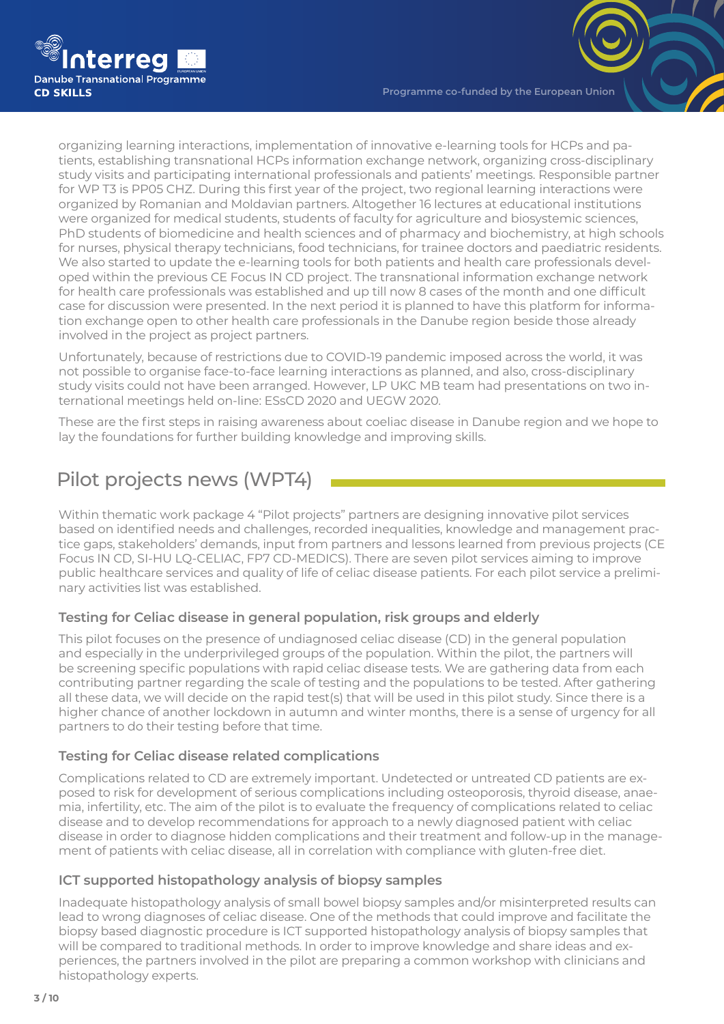

organizing learning interactions, implementation of innovative e-learning tools for HCPs and patients, establishing transnational HCPs information exchange network, organizing cross-disciplinary study visits and participating international professionals and patients' meetings. Responsible partner for WP T3 is PP05 CHZ. During this first year of the project, two regional learning interactions were organized by Romanian and Moldavian partners. Altogether 16 lectures at educational institutions were organized for medical students, students of faculty for agriculture and biosystemic sciences, PhD students of biomedicine and health sciences and of pharmacy and biochemistry, at high schools for nurses, physical therapy technicians, food technicians, for trainee doctors and paediatric residents. We also started to update the e-learning tools for both patients and health care professionals developed within the previous CE Focus IN CD project. The transnational information exchange network for health care professionals was established and up till now 8 cases of the month and one difficult case for discussion were presented. In the next period it is planned to have this platform for information exchange open to other health care professionals in the Danube region beside those already involved in the project as project partners.

Unfortunately, because of restrictions due to COVID-19 pandemic imposed across the world, it was not possible to organise face-to-face learning interactions as planned, and also, cross-disciplinary study visits could not have been arranged. However, LP UKC MB team had presentations on two international meetings held on-line: ESsCD 2020 and UEGW 2020.

These are the first steps in raising awareness about coeliac disease in Danube region and we hope to lay the foundations for further building knowledge and improving skills.

# Pilot projects news (WPT4)

Within thematic work package 4 "Pilot projects" partners are designing innovative pilot services based on identified needs and challenges, recorded inequalities, knowledge and management practice gaps, stakeholders' demands, input from partners and lessons learned from previous projects (CE Focus IN CD, SI-HU LQ-CELIAC, FP7 CD-MEDICS). There are seven pilot services aiming to improve public healthcare services and quality of life of celiac disease patients. For each pilot service a preliminary activities list was established.

#### **Testing for Celiac disease in general population, risk groups and elderly**

This pilot focuses on the presence of undiagnosed celiac disease (CD) in the general population and especially in the underprivileged groups of the population. Within the pilot, the partners will be screening specific populations with rapid celiac disease tests. We are gathering data from each contributing partner regarding the scale of testing and the populations to be tested. After gathering all these data, we will decide on the rapid test(s) that will be used in this pilot study. Since there is a higher chance of another lockdown in autumn and winter months, there is a sense of urgency for all partners to do their testing before that time.

#### **Testing for Celiac disease related complications**

Complications related to CD are extremely important. Undetected or untreated CD patients are exposed to risk for development of serious complications including osteoporosis, thyroid disease, anaemia, infertility, etc. The aim of the pilot is to evaluate the frequency of complications related to celiac disease and to develop recommendations for approach to a newly diagnosed patient with celiac disease in order to diagnose hidden complications and their treatment and follow-up in the management of patients with celiac disease, all in correlation with compliance with gluten-free diet.

#### **ICT supported histopathology analysis of biopsy samples**

Inadequate histopathology analysis of small bowel biopsy samples and/or misinterpreted results can lead to wrong diagnoses of celiac disease. One of the methods that could improve and facilitate the biopsy based diagnostic procedure is ICT supported histopathology analysis of biopsy samples that will be compared to traditional methods. In order to improve knowledge and share ideas and experiences, the partners involved in the pilot are preparing a common workshop with clinicians and histopathology experts.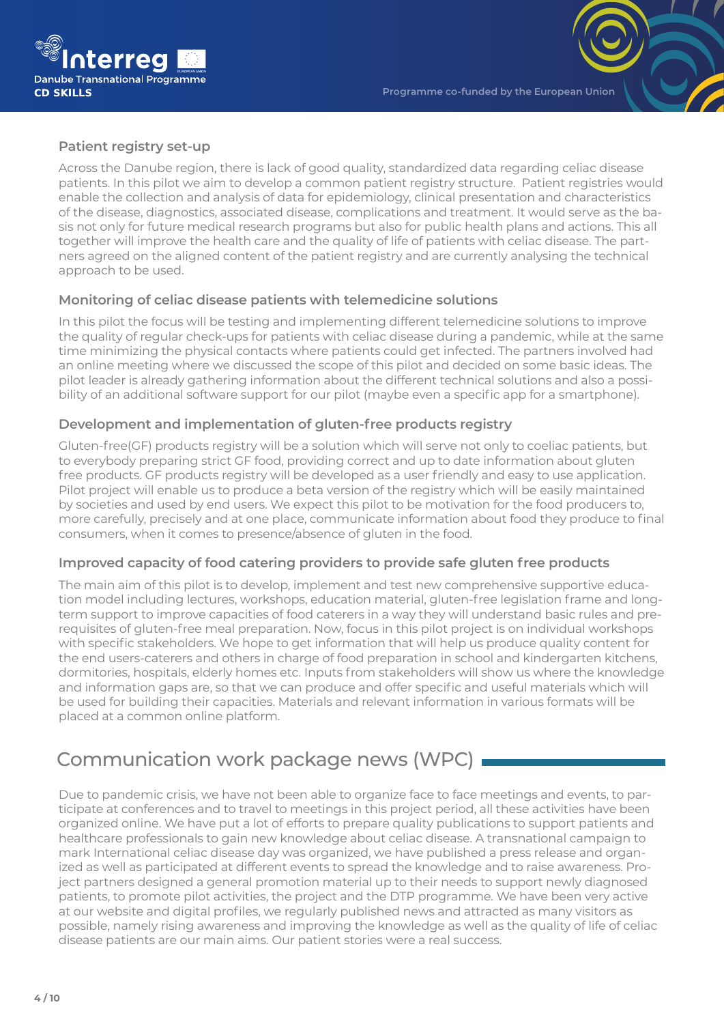

#### **Patient registry set-up**

Across the Danube region, there is lack of good quality, standardized data regarding celiac disease patients. In this pilot we aim to develop a common patient registry structure. Patient registries would enable the collection and analysis of data for epidemiology, clinical presentation and characteristics of the disease, diagnostics, associated disease, complications and treatment. It would serve as the basis not only for future medical research programs but also for public health plans and actions. This all together will improve the health care and the quality of life of patients with celiac disease. The partners agreed on the aligned content of the patient registry and are currently analysing the technical approach to be used.

#### **Monitoring of celiac disease patients with telemedicine solutions**

In this pilot the focus will be testing and implementing different telemedicine solutions to improve the quality of regular check-ups for patients with celiac disease during a pandemic, while at the same time minimizing the physical contacts where patients could get infected. The partners involved had an online meeting where we discussed the scope of this pilot and decided on some basic ideas. The pilot leader is already gathering information about the different technical solutions and also a possibility of an additional software support for our pilot (maybe even a specific app for a smartphone).

#### **Development and implementation of gluten-free products registry**

Gluten-free(GF) products registry will be a solution which will serve not only to coeliac patients, but to everybody preparing strict GF food, providing correct and up to date information about gluten free products. GF products registry will be developed as a user friendly and easy to use application. Pilot project will enable us to produce a beta version of the registry which will be easily maintained by societies and used by end users. We expect this pilot to be motivation for the food producers to, more carefully, precisely and at one place, communicate information about food they produce to final consumers, when it comes to presence/absence of gluten in the food.

#### **Improved capacity of food catering providers to provide safe gluten free products**

The main aim of this pilot is to develop, implement and test new comprehensive supportive education model including lectures, workshops, education material, gluten-free legislation frame and longterm support to improve capacities of food caterers in a way they will understand basic rules and prerequisites of gluten-free meal preparation. Now, focus in this pilot project is on individual workshops with specific stakeholders. We hope to get information that will help us produce quality content for the end users-caterers and others in charge of food preparation in school and kindergarten kitchens, dormitories, hospitals, elderly homes etc. Inputs from stakeholders will show us where the knowledge and information gaps are, so that we can produce and offer specific and useful materials which will be used for building their capacities. Materials and relevant information in various formats will be placed at a common online platform.

### Communication work package news (WPC)

Due to pandemic crisis, we have not been able to organize face to face meetings and events, to participate at conferences and to travel to meetings in this project period, all these activities have been organized online. We have put a lot of efforts to prepare quality publications to support patients and healthcare professionals to gain new knowledge about celiac disease. A transnational campaign to mark International celiac disease day was organized, we have published a press release and organized as well as participated at different events to spread the knowledge and to raise awareness. Project partners designed a general promotion material up to their needs to support newly diagnosed patients, to promote pilot activities, the project and the DTP programme. We have been very active at our website and digital profiles, we regularly published news and attracted as many visitors as possible, namely rising awareness and improving the knowledge as well as the quality of life of celiac disease patients are our main aims. Our patient stories were a real success.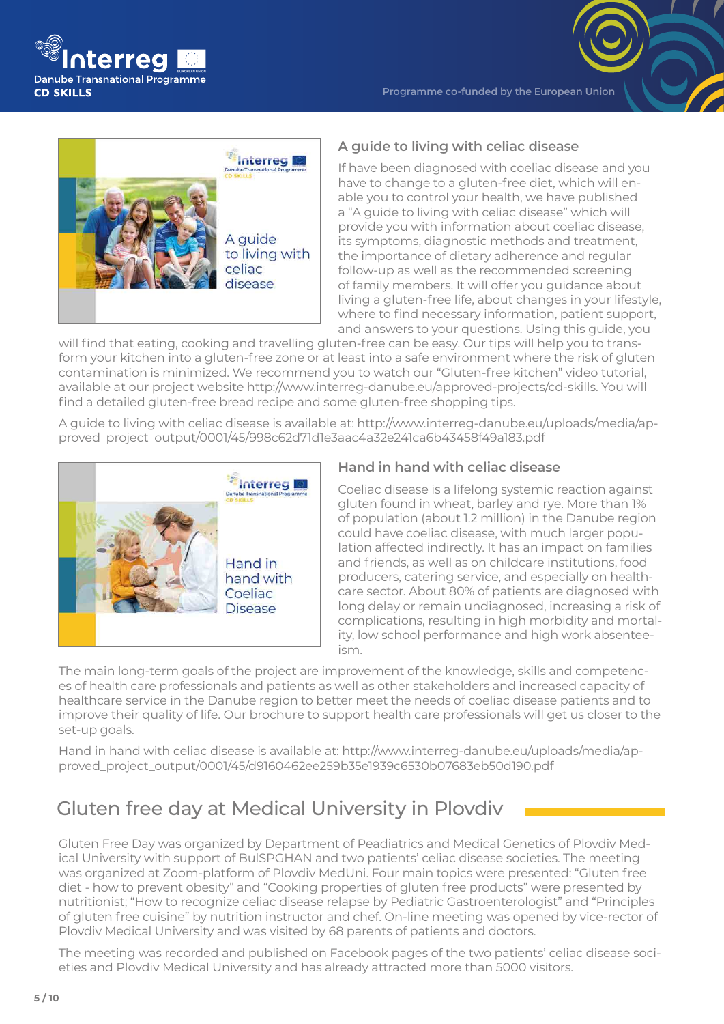

**Programme co-funded by the European Union**



#### **A guide to living with celiac disease**

If have been diagnosed with coeliac disease and you have to change to a gluten-free diet, which will enable you to control your health, we have published a "A guide to living with celiac disease" which will provide you with information about coeliac disease, its symptoms, diagnostic methods and treatment, the importance of dietary adherence and regular follow-up as well as the recommended screening of family members. It will offer you guidance about living a gluten-free life, about changes in your lifestyle, where to find necessary information, patient support, and answers to your questions. Using this guide, you

will find that eating, cooking and travelling gluten-free can be easy. Our tips will help you to transform your kitchen into a gluten-free zone or at least into a safe environment where the risk of gluten contamination is minimized. We recommend you to watch our "Gluten-free kitchen" video tutorial, available at our project website http://www.interreg-danube.eu/approved-projects/cd-skills. You will find a detailed gluten-free bread recipe and some gluten-free shopping tips.

A guide to living with celiac disease is available at: http://www.interreg-danube.eu/uploads/media/approved\_project\_output/0001/45/998c62d71d1e3aac4a32e241ca6b43458f49a183.pdf



#### **Hand in hand with celiac disease**

Coeliac disease is a lifelong systemic reaction against gluten found in wheat, barley and rye. More than 1% of population (about 1.2 million) in the Danube region could have coeliac disease, with much larger population affected indirectly. It has an impact on families and friends, as well as on childcare institutions, food producers, catering service, and especially on healthcare sector. About 80% of patients are diagnosed with long delay or remain undiagnosed, increasing a risk of complications, resulting in high morbidity and mortality, low school performance and high work absenteeism.

The main long-term goals of the project are improvement of the knowledge, skills and competences of health care professionals and patients as well as other stakeholders and increased capacity of healthcare service in the Danube region to better meet the needs of coeliac disease patients and to improve their quality of life. Our brochure to support health care professionals will get us closer to the set-up goals.

Hand in hand with celiac disease is available at: http://www.interreg-danube.eu/uploads/media/approved\_project\_output/0001/45/d9160462ee259b35e1939c6530b07683eb50d190.pdf

# Gluten free day at Medical University in Plovdiv

Gluten Free Day was organized by Department of Peadiatrics and Medical Genetics of Plovdiv Medical University with support of BulSPGHAN and two patients' celiac disease societies. The meeting was organized at Zoom-platform of Plovdiv MedUni. Four main topics were presented: "Gluten free diet - how to prevent obesity" and "Cooking properties of gluten free products" were presented by nutritionist; "How to recognize celiac disease relapse by Pediatric Gastroenterologist" and "Principles of gluten free cuisine" by nutrition instructor and chef. On-line meeting was opened by vice-rector of Plovdiv Medical University and was visited by 68 parents of patients and doctors.

The meeting was recorded and published on Facebook pages of the two patients' celiac disease societies and Plovdiv Medical University and has already attracted more than 5000 visitors.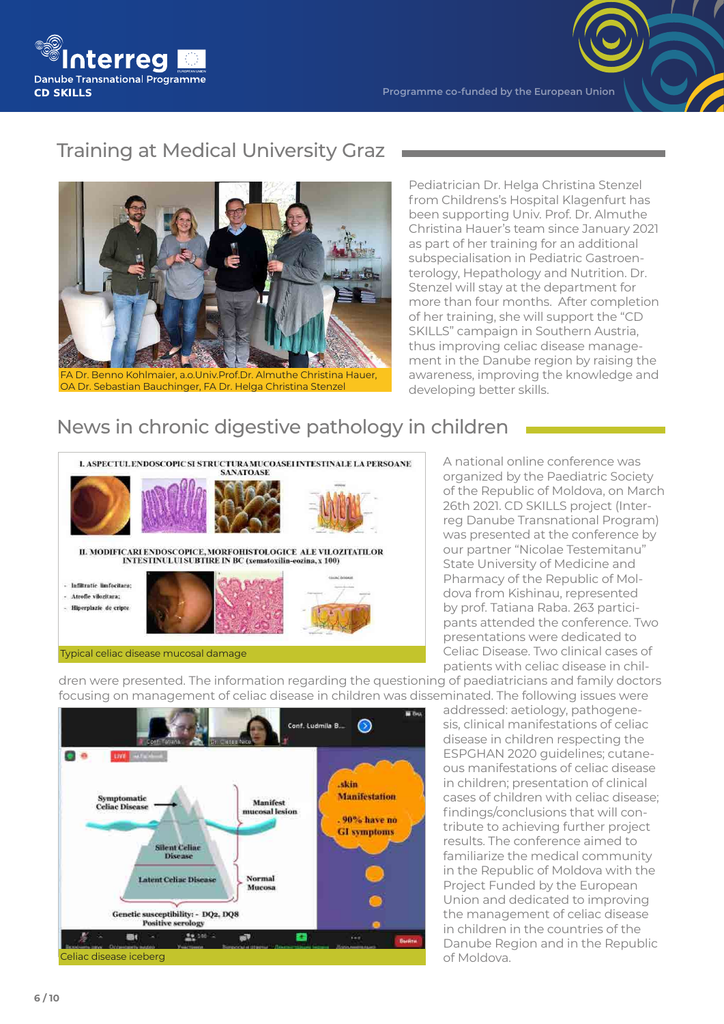

# Training at Medical University Graz



FA Dr. Benno Kohlmaier, a.o.Univ.Prof.Dr. Almuthe Christina Hauer, OA Dr. Sebastian Bauchinger, FA Dr. Helga Christina Stenzel

Pediatrician Dr. Helga Christina Stenzel from Childrens's Hospital Klagenfurt has been supporting Univ. Prof. Dr. Almuthe Christina Hauer's team since January 2021 as part of her training for an additional subspecialisation in Pediatric Gastroenterology, Hepathology and Nutrition. Dr. Stenzel will stay at the department for more than four months. After completion of her training, she will support the "CD SKILLS" campaign in Southern Austria, thus improving celiac disease management in the Danube region by raising the awareness, improving the knowledge and developing better skills.

# News in chronic digestive pathology in children



A national online conference was organized by the Paediatric Society of the Republic of Moldova, on March 26th 2021. CD SKILLS project (Interreg Danube Transnational Program) was presented at the conference by our partner "Nicolae Testemitanu" State University of Medicine and Pharmacy of the Republic of Moldova from Kishinau, represented by prof. Tatiana Raba. 263 participants attended the conference. Two presentations were dedicated to Celiac Disease. Two clinical cases of patients with celiac disease in chil-

dren were presented. The information regarding the questioning of paediatricians and family doctors focusing on management of celiac disease in children was disseminated. The following issues were



addressed: aetiology, pathogenesis, clinical manifestations of celiac disease in children respecting the ESPGHAN 2020 guidelines; cutaneous manifestations of celiac disease in children; presentation of clinical cases of children with celiac disease; findings/conclusions that will contribute to achieving further project results. The conference aimed to familiarize the medical community in the Republic of Moldova with the Project Funded by the European Union and dedicated to improving the management of celiac disease in children in the countries of the Danube Region and in the Republic of Moldova.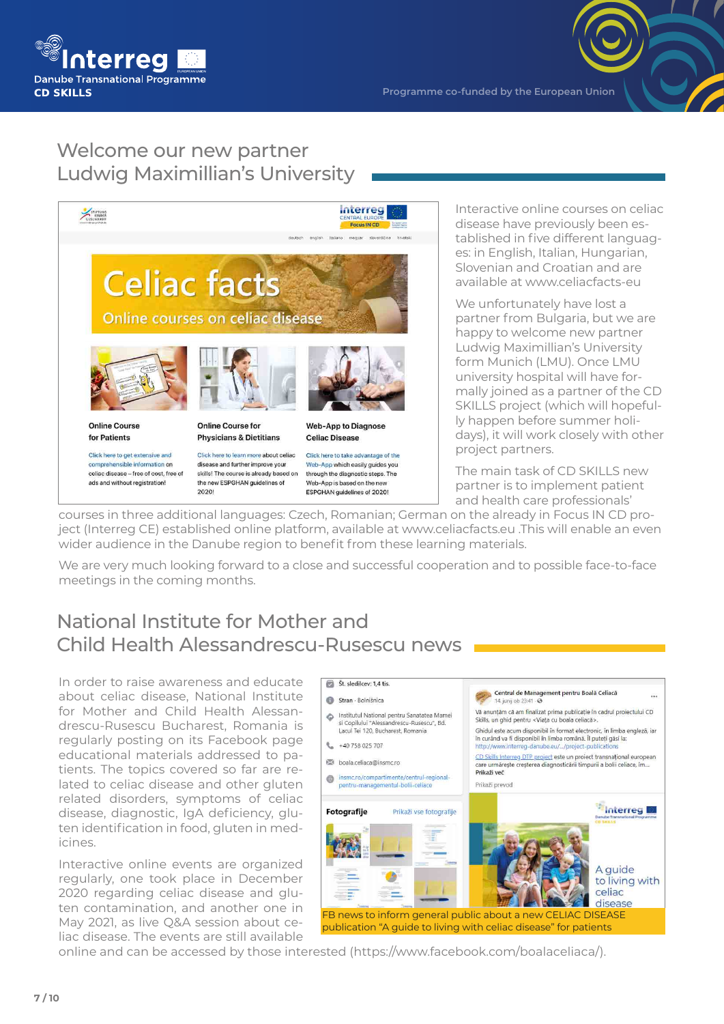

# Welcome our new partner Ludwig Maximillian's University

2020



Interactive online courses on celiac disease have previously been established in five different languages: in English, Italian, Hungarian, Slovenian and Croatian and are available at www.celiacfacts-eu

We unfortunately have lost a partner from Bulgaria, but we are happy to welcome new partner Ludwig Maximillian's University form Munich (LMU). Once LMU university hospital will have formally joined as a partner of the CD SKILLS project (which will hopefully happen before summer holidays), it will work closely with other project partners.

The main task of CD SKILLS new partner is to implement patient and health care professionals'

courses in three additional languages: Czech, Romanian; German on the already in Focus IN CD project (Interreg CE) established online platform, available at www.celiacfacts.eu .This will enable an even wider audience in the Danube region to benefit from these learning materials.

ESPGHAN quidelines of 2020!

We are very much looking forward to a close and successful cooperation and to possible face-to-face meetings in the coming months.

### National Institute for Mother and Child Health Alessandrescu-Rusescu news

In order to raise awareness and educate about celiac disease, National Institute for Mother and Child Health Alessandrescu-Rusescu Bucharest, Romania is regularly posting on its Facebook page educational materials addressed to patients. The topics covered so far are related to celiac disease and other gluten related disorders, symptoms of celiac disease, diagnostic, IgA deficiency, gluten identification in food, gluten in medicines.

Interactive online events are organized regularly, one took place in December 2020 regarding celiac disease and gluten contamination, and another one in May 2021, as live Q&A session about celiac disease. The events are still available



online and can be accessed by those interested (https://www.facebook.com/boalaceliaca/).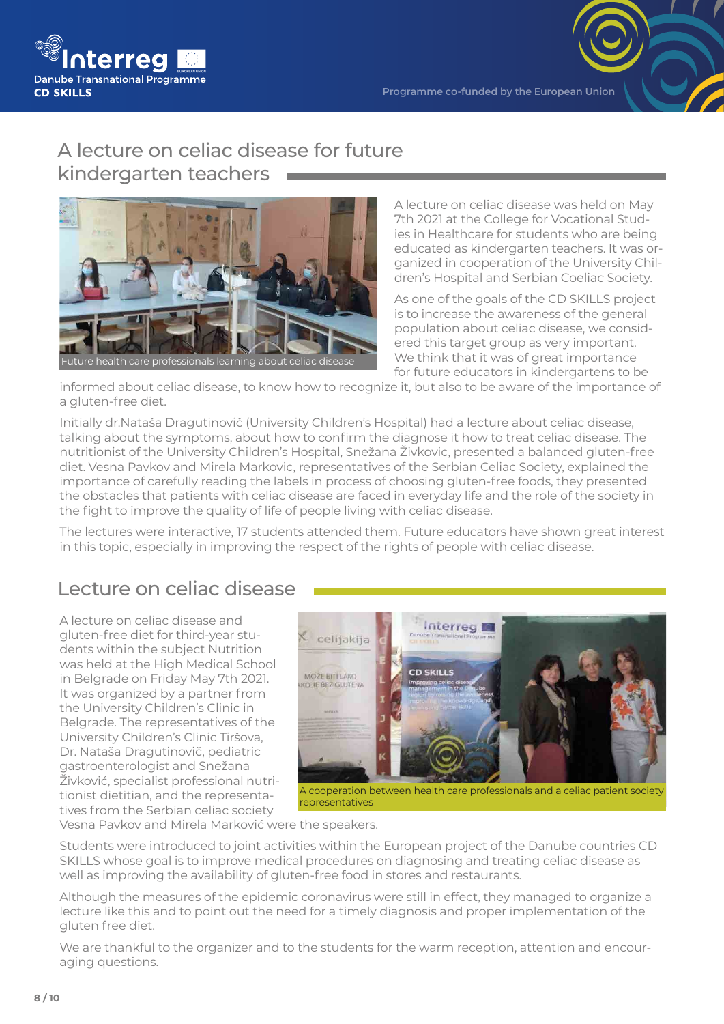

### A lecture on celiac disease for future kindergarten teachers



A lecture on celiac disease was held on May 7th 2021 at the College for Vocational Studies in Healthcare for students who are being educated as kindergarten teachers. It was organized in cooperation of the University Children's Hospital and Serbian Coeliac Society.

As one of the goals of the CD SKILLS project is to increase the awareness of the general population about celiac disease, we considered this target group as very important. We think that it was of great importance for future educators in kindergartens to be

informed about celiac disease, to know how to recognize it, but also to be aware of the importance of a gluten-free diet.

Initially dr.Nataša Dragutinovič (University Children's Hospital) had a lecture about celiac disease, talking about the symptoms, about how to confirm the diagnose it how to treat celiac disease. The nutritionist of the University Children's Hospital, Snežana Živkovic, presented a balanced gluten-free diet. Vesna Pavkov and Mirela Markovic, representatives of the Serbian Celiac Society, explained the importance of carefully reading the labels in process of choosing gluten-free foods, they presented the obstacles that patients with celiac disease are faced in everyday life and the role of the society in the fight to improve the quality of life of people living with celiac disease.

The lectures were interactive, 17 students attended them. Future educators have shown great interest in this topic, especially in improving the respect of the rights of people with celiac disease.

### Lecture on celiac disease

A lecture on celiac disease and gluten-free diet for third-year students within the subject Nutrition was held at the High Medical School in Belgrade on Friday May 7th 2021. It was organized by a partner from the University Children's Clinic in Belgrade. The representatives of the University Children's Clinic Tiršova, Dr. Nataša Dragutinovič, pediatric gastroenterologist and Snežana Živković, specialist professional nutritionist dietitian, and the representatives from the Serbian celiac society



A cooperation between health care professionals and a celiac patient society representatives

Vesna Pavkov and Mirela Marković were the speakers.

Students were introduced to joint activities within the European project of the Danube countries CD SKILLS whose goal is to improve medical procedures on diagnosing and treating celiac disease as well as improving the availability of gluten-free food in stores and restaurants.

Although the measures of the epidemic coronavirus were still in effect, they managed to organize a lecture like this and to point out the need for a timely diagnosis and proper implementation of the gluten free diet.

We are thankful to the organizer and to the students for the warm reception, attention and encouraging questions.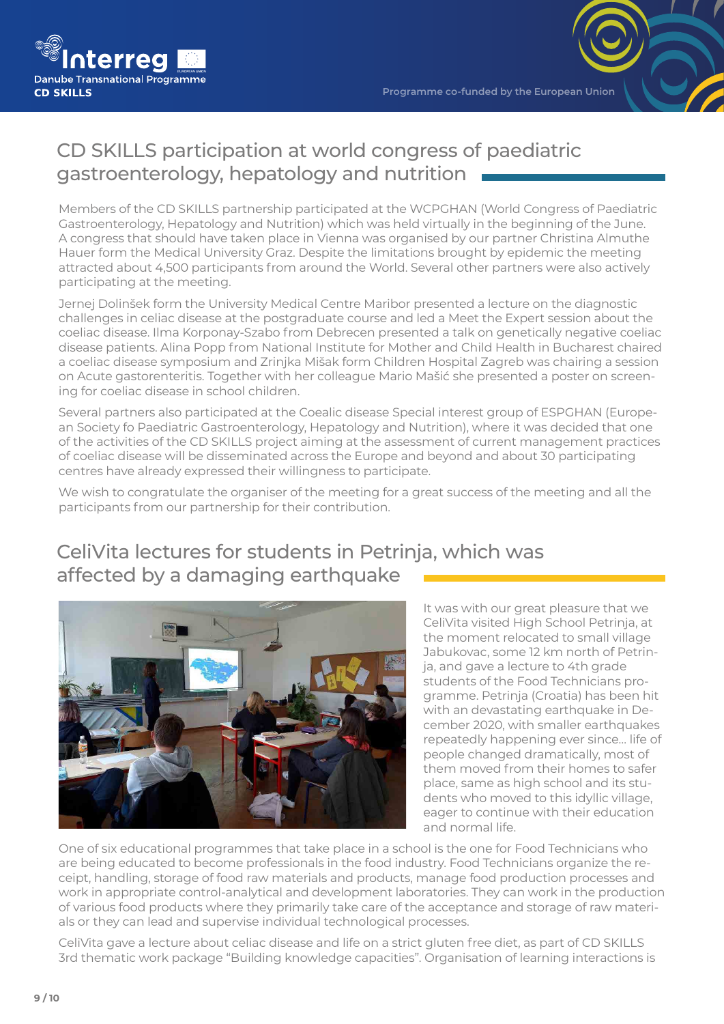

# CD SKILLS participation at world congress of paediatric gastroenterology, hepatology and nutrition

Members of the CD SKILLS partnership participated at the WCPGHAN (World Congress of Paediatric Gastroenterology, Hepatology and Nutrition) which was held virtually in the beginning of the June. A congress that should have taken place in Vienna was organised by our partner Christina Almuthe Hauer form the Medical University Graz. Despite the limitations brought by epidemic the meeting attracted about 4,500 participants from around the World. Several other partners were also actively participating at the meeting.

Jernej Dolinšek form the University Medical Centre Maribor presented a lecture on the diagnostic challenges in celiac disease at the postgraduate course and led a Meet the Expert session about the coeliac disease. Ilma Korponay-Szabo from Debrecen presented a talk on genetically negative coeliac disease patients. Alina Popp from National Institute for Mother and Child Health in Bucharest chaired a coeliac disease symposium and Zrinjka Mišak form Children Hospital Zagreb was chairing a session on Acute gastorenteritis. Together with her colleague Mario Mašić she presented a poster on screening for coeliac disease in school children.

Several partners also participated at the Coealic disease Special interest group of ESPGHAN (European Society fo Paediatric Gastroenterology, Hepatology and Nutrition), where it was decided that one of the activities of the CD SKILLS project aiming at the assessment of current management practices of coeliac disease will be disseminated across the Europe and beyond and about 30 participating centres have already expressed their willingness to participate.

We wish to congratulate the organiser of the meeting for a great success of the meeting and all the participants from our partnership for their contribution.

# CeliVita lectures for students in Petrinja, which was affected by a damaging earthquake



It was with our great pleasure that we CeliVita visited High School Petrinja, at the moment relocated to small village Jabukovac, some 12 km north of Petrinja, and gave a lecture to 4th grade students of the Food Technicians programme. Petrinja (Croatia) has been hit with an devastating earthquake in December 2020, with smaller earthquakes repeatedly happening ever since… life of people changed dramatically, most of them moved from their homes to safer place, same as high school and its students who moved to this idyllic village, eager to continue with their education and normal life.

One of six educational programmes that take place in a school is the one for Food Technicians who are being educated to become professionals in the food industry. Food Technicians organize the receipt, handling, storage of food raw materials and products, manage food production processes and work in appropriate control-analytical and development laboratories. They can work in the production of various food products where they primarily take care of the acceptance and storage of raw materials or they can lead and supervise individual technological processes.

CeliVita gave a lecture about celiac disease and life on a strict gluten free diet, as part of CD SKILLS 3rd thematic work package "Building knowledge capacities". Organisation of learning interactions is